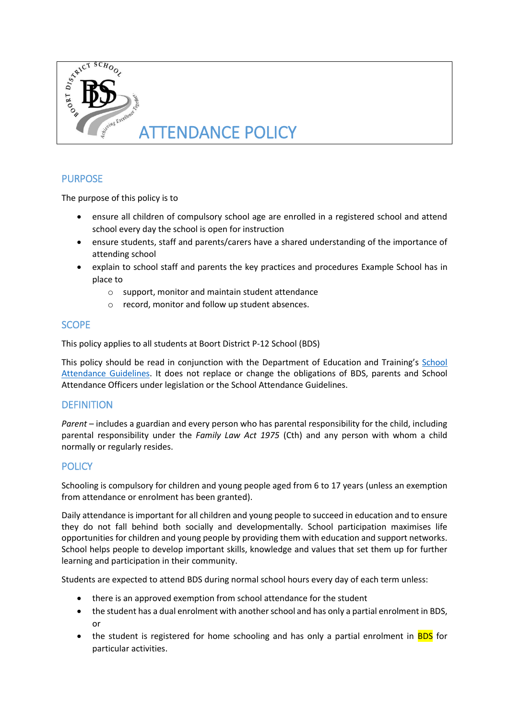

# **PURPOSE**

The purpose of this policy is to

- ensure all children of compulsory school age are enrolled in a registered school and attend school every day the school is open for instruction
- ensure students, staff and parents/carers have a shared understanding of the importance of attending school
- explain to school staff and parents the key practices and procedures Example School has in place to
	- o support, monitor and maintain student attendance
	- o record, monitor and follow up student absences.

# **SCOPE**

This policy applies to all students at Boort District P-12 School (BDS)

This policy should be read in conjunction with the Department of Education and Training's School [Attendance Guidelines.](http://www.education.vic.gov.au/school/teachers/studentmanagement/Pages/attendance.aspx) It does not replace or change the obligations of BDS, parents and School Attendance Officers under legislation or the School Attendance Guidelines.

### **DEFINITION**

*Parent* – includes a guardian and every person who has parental responsibility for the child, including parental responsibility under the *Family Law Act 1975* (Cth) and any person with whom a child normally or regularly resides.

# **POLICY**

Schooling is compulsory for children and young people aged from 6 to 17 years (unless an exemption from attendance or enrolment has been granted).

Daily attendance is important for all children and young people to succeed in education and to ensure they do not fall behind both socially and developmentally. School participation maximises life opportunities for children and young people by providing them with education and support networks. School helps people to develop important skills, knowledge and values that set them up for further learning and participation in their community.

Students are expected to attend BDS during normal school hours every day of each term unless:

- there is an approved exemption from school attendance for the student
- the student has a dual enrolment with another school and has only a partial enrolment in BDS, or
- the student is registered for home schooling and has only a partial enrolment in **BDS** for particular activities.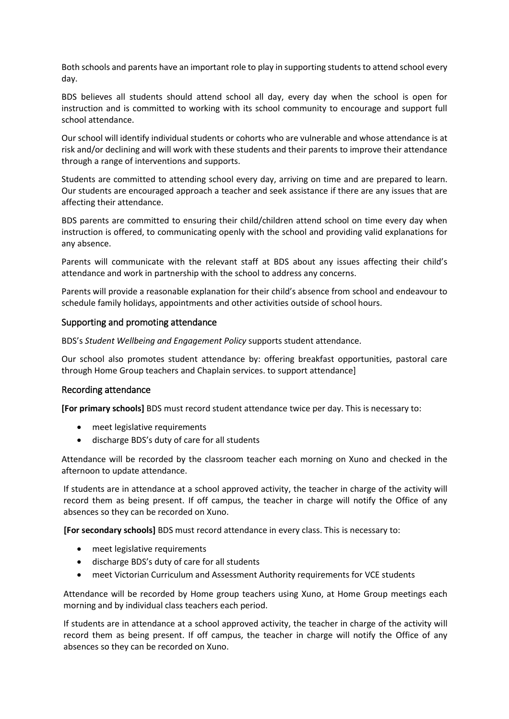Both schools and parents have an important role to play in supporting students to attend school every day.

BDS believes all students should attend school all day, every day when the school is open for instruction and is committed to working with its school community to encourage and support full school attendance.

Our school will identify individual students or cohorts who are vulnerable and whose attendance is at risk and/or declining and will work with these students and their parents to improve their attendance through a range of interventions and supports.

Students are committed to attending school every day, arriving on time and are prepared to learn. Our students are encouraged approach a teacher and seek assistance if there are any issues that are affecting their attendance.

BDS parents are committed to ensuring their child/children attend school on time every day when instruction is offered, to communicating openly with the school and providing valid explanations for any absence.

Parents will communicate with the relevant staff at BDS about any issues affecting their child's attendance and work in partnership with the school to address any concerns.

Parents will provide a reasonable explanation for their child's absence from school and endeavour to schedule family holidays, appointments and other activities outside of school hours.

#### Supporting and promoting attendance

BDS's *Student Wellbeing and Engagement Policy* supports student attendance.

Our school also promotes student attendance by: offering breakfast opportunities, pastoral care through Home Group teachers and Chaplain services. to support attendance]

#### Recording attendance

**[For primary schools]** BDS must record student attendance twice per day. This is necessary to:

- meet legislative requirements
- discharge BDS's duty of care for all students

Attendance will be recorded by the classroom teacher each morning on Xuno and checked in the afternoon to update attendance.

If students are in attendance at a school approved activity, the teacher in charge of the activity will record them as being present. If off campus, the teacher in charge will notify the Office of any absences so they can be recorded on Xuno.

**[For secondary schools]** BDS must record attendance in every class. This is necessary to:

- meet legislative requirements
- discharge BDS's duty of care for all students
- meet Victorian Curriculum and Assessment Authority requirements for VCE students

Attendance will be recorded by Home group teachers using Xuno, at Home Group meetings each morning and by individual class teachers each period.

If students are in attendance at a school approved activity, the teacher in charge of the activity will record them as being present. If off campus, the teacher in charge will notify the Office of any absences so they can be recorded on Xuno.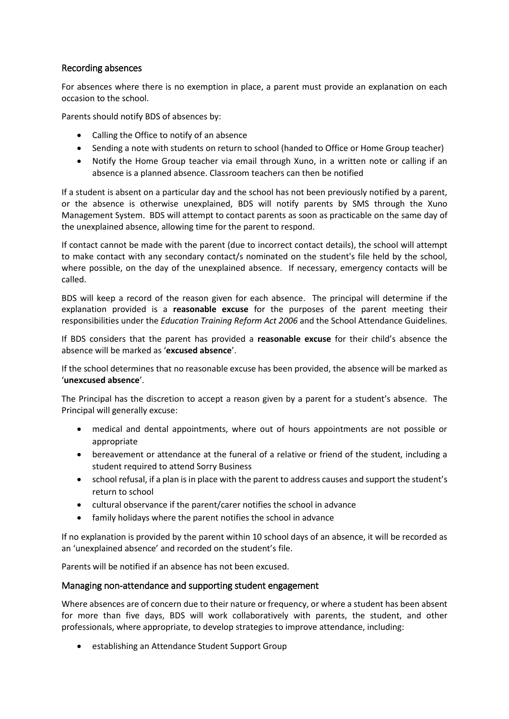## Recording absences

For absences where there is no exemption in place, a parent must provide an explanation on each occasion to the school.

Parents should notify BDS of absences by:

- Calling the Office to notify of an absence
- Sending a note with students on return to school (handed to Office or Home Group teacher)
- Notify the Home Group teacher via email through Xuno, in a written note or calling if an absence is a planned absence. Classroom teachers can then be notified

If a student is absent on a particular day and the school has not been previously notified by a parent, or the absence is otherwise unexplained, BDS will notify parents by SMS through the Xuno Management System. BDS will attempt to contact parents as soon as practicable on the same day of the unexplained absence, allowing time for the parent to respond.

If contact cannot be made with the parent (due to incorrect contact details), the school will attempt to make contact with any secondary contact/s nominated on the student's file held by the school, where possible, on the day of the unexplained absence. If necessary, emergency contacts will be called.

BDS will keep a record of the reason given for each absence. The principal will determine if the explanation provided is a **reasonable excuse** for the purposes of the parent meeting their responsibilities under the *Education Training Reform Act 2006* and the School Attendance Guidelines.

If BDS considers that the parent has provided a **reasonable excuse** for their child's absence the absence will be marked as '**excused absence**'.

If the school determines that no reasonable excuse has been provided, the absence will be marked as '**unexcused absence**'.

The Principal has the discretion to accept a reason given by a parent for a student's absence. The Principal will generally excuse:

- medical and dental appointments, where out of hours appointments are not possible or appropriate
- bereavement or attendance at the funeral of a relative or friend of the student, including a student required to attend Sorry Business
- school refusal, if a plan is in place with the parent to address causes and support the student's return to school
- cultural observance if the parent/carer notifies the school in advance
- family holidays where the parent notifies the school in advance

If no explanation is provided by the parent within 10 school days of an absence, it will be recorded as an 'unexplained absence' and recorded on the student's file.

Parents will be notified if an absence has not been excused.

#### Managing non-attendance and supporting student engagement

Where absences are of concern due to their nature or frequency, or where a student has been absent for more than five days, BDS will work collaboratively with parents, the student, and other professionals, where appropriate, to develop strategies to improve attendance, including:

• establishing an Attendance Student Support Group